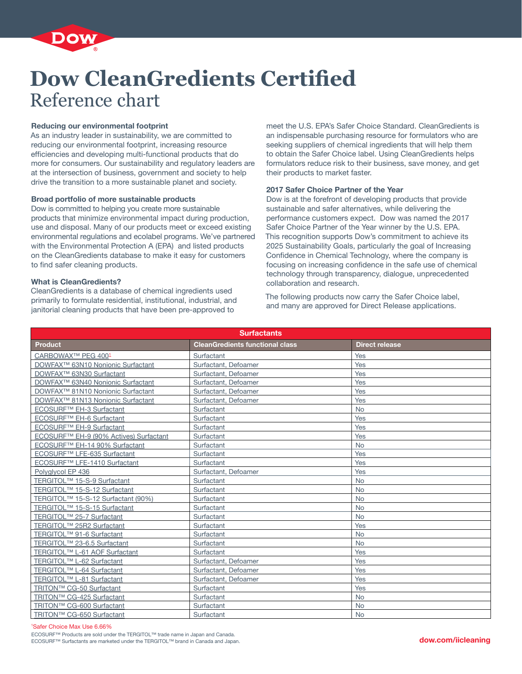

# **Dow CleanGredients Certified** Reference chart

## **Reducing our environmental footprint**

As an industry leader in sustainability, we are committed to reducing our environmental footprint, increasing resource efficiencies and developing multi-functional products that do more for consumers. Our sustainability and regulatory leaders are at the intersection of business, government and society to help drive the transition to a more sustainable planet and society.

### **Broad portfolio of more sustainable products**

Dow is committed to helping you create more sustainable products that minimize environmental impact during production, use and disposal. Many of our products meet or exceed existing environmental regulations and ecolabel programs. We've partnered with the Environmental Protection A (EPA) and listed products on the CleanGredients database to make it easy for customers to find safer cleaning products.

# **What is CleanGredients?**

CleanGredients is a database of chemical ingredients used primarily to formulate residential, institutional, industrial, and janitorial cleaning products that have been pre-approved to

meet the U.S. EPA's Safer Choice Standard. CleanGredients is an indispensable purchasing resource for formulators who are seeking suppliers of chemical ingredients that will help them to obtain the Safer Choice label. Using CleanGredients helps formulators reduce risk to their business, save money, and get their products to market faster.

### **2017 Safer Choice Partner of the Year**

Dow is at the forefront of developing products that provide sustainable and safer alternatives, while delivering the performance customers expect. Dow was named the 2017 Safer Choice Partner of the Year winner by the U.S. EPA. This recognition supports Dow's commitment to achieve its 2025 Sustainability Goals, particularly the goal of Increasing Confidence in Chemical Technology, where the company is focusing on increasing confidence in the safe use of chemical technology through transparency, dialogue, unprecedented collaboration and research.

The following products now carry the Safer Choice label, and many are approved for Direct Release applications.

| <b>Surfactants</b>                                 |                                        |                       |  |  |
|----------------------------------------------------|----------------------------------------|-----------------------|--|--|
| <b>Product</b>                                     | <b>CleanGredients functional class</b> | <b>Direct release</b> |  |  |
| CARBOWAX™ PEG 4001                                 | Surfactant                             | Yes                   |  |  |
| DOWFAX <sup>™</sup> 63N10 Nonionic Surfactant      | Surfactant, Defoamer                   | Yes                   |  |  |
| DOWFAX <sup>™</sup> 63N30 Surfactant               | Surfactant, Defoamer                   | Yes                   |  |  |
| DOWFAX <sup>™</sup> 63N40 Nonionic Surfactant      | Surfactant, Defoamer                   | Yes                   |  |  |
| DOWFAX <sup>™</sup> 81N10 Nonionic Surfactant      | Surfactant, Defoamer                   | Yes                   |  |  |
| DOWFAX <sup>™</sup> 81N13 Nonionic Surfactant      | Surfactant, Defoamer                   | Yes                   |  |  |
| ECOSURF <sup>™</sup> EH-3 Surfactant               | Surfactant                             | <b>No</b>             |  |  |
| ECOSURF <sup>™</sup> EH-6 Surfactant               | Surfactant                             | Yes                   |  |  |
| ECOSURF™ EH-9 Surfactant                           | Surfactant                             | Yes                   |  |  |
| ECOSURF <sup>™</sup> EH-9 (90% Actives) Surfactant | Surfactant                             | Yes                   |  |  |
| ECOSURF <sup>™</sup> EH-14 90% Surfactant          | Surfactant                             | <b>No</b>             |  |  |
| ECOSURF™ LFE-635 Surfactant                        | Surfactant                             | Yes                   |  |  |
| ECOSURF <sup>™</sup> LFE-1410 Surfactant           | Surfactant                             | Yes                   |  |  |
| Polyglycol EP 436                                  | Surfactant, Defoamer                   | Yes                   |  |  |
| TERGITOL <sup>™</sup> 15-S-9 Surfactant            | Surfactant                             | <b>No</b>             |  |  |
| TERGITOL <sup>™</sup> 15-S-12 Surfactant           | Surfactant                             | <b>No</b>             |  |  |
| TERGITOL <sup>™</sup> 15-S-12 Surfactant (90%)     | Surfactant                             | <b>No</b>             |  |  |
| TERGITOL <sup>™</sup> 15-S-15 Surfactant           | Surfactant                             | <b>No</b>             |  |  |
| TERGITOL <sup>™</sup> 25-7 Surfactant              | Surfactant                             | <b>No</b>             |  |  |
| TERGITOL <sup>™</sup> 25R2 Surfactant              | Surfactant                             | Yes                   |  |  |
| TERGITOL <sup>™</sup> 91-6 Surfactant              | Surfactant                             | <b>No</b>             |  |  |
| TERGITOL <sup>™</sup> 23-6.5 Surfactant            | Surfactant                             | <b>No</b>             |  |  |
| TERGITOL <sup>™</sup> L-61 AOF Surfactant          | Surfactant                             | Yes                   |  |  |
| TERGITOL <sup>™</sup> L-62 Surfactant              | Surfactant, Defoamer                   | Yes                   |  |  |
| TERGITOL <sup>™</sup> L-64 Surfactant              | Surfactant, Defoamer                   | Yes                   |  |  |
| TERGITOL <sup>™</sup> L-81 Surfactant              | Surfactant, Defoamer                   | Yes                   |  |  |
| TRITON™ CG-50 Surfactant                           | Surfactant                             | Yes                   |  |  |
| TRITON™ CG-425 Surfactant                          | Surfactant                             | <b>No</b>             |  |  |
| TRITON™ CG-600 Surfactant                          | Surfactant                             | <b>No</b>             |  |  |
| TRITON™ CG-650 Surfactant                          | Surfactant                             | <b>No</b>             |  |  |

1 Safer Choice Max Use 6.66%

ECOSURF™ Products are sold under the TERGITOL™ trade name in Japan and Canada.<br>ECOSURF™ Surfactants are marketed under the TERGITOL™ brand in Canada and Japan.